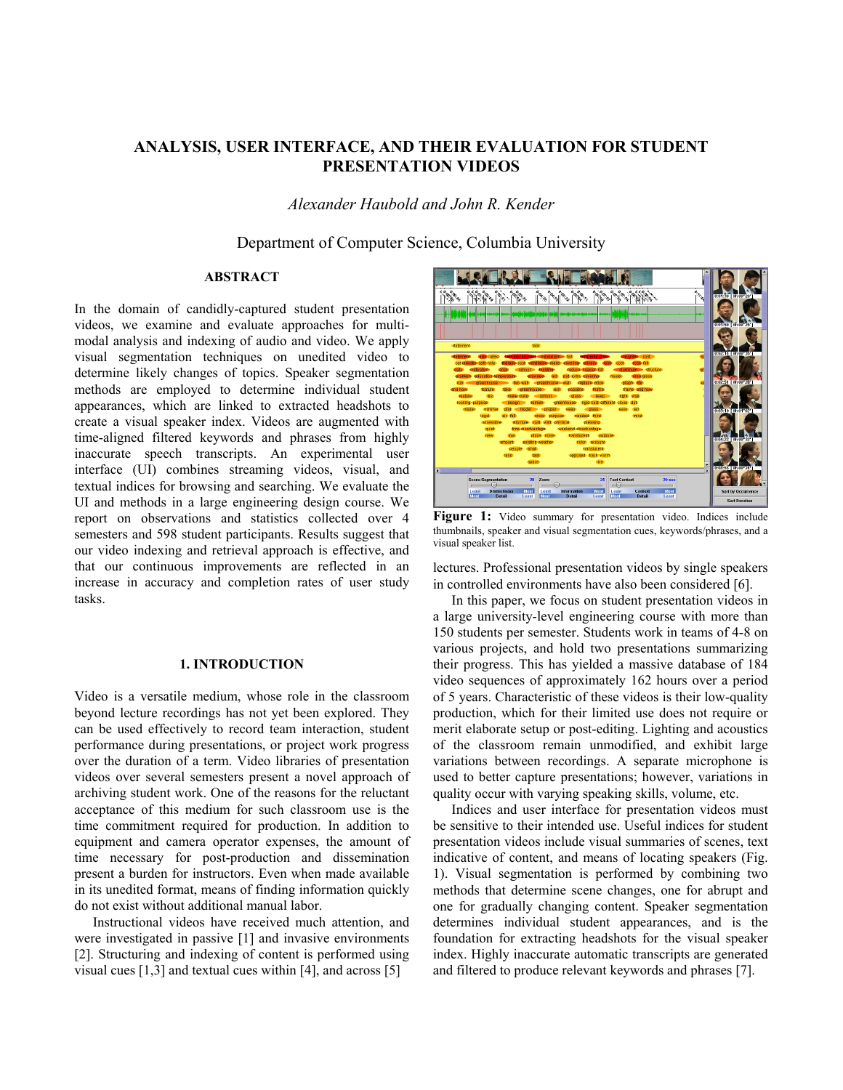# **ANALYSIS, USER INTERFACE, AND THEIR EVALUATION FOR STUDENT PRESENTATION VIDEOS**

*Alexander Haubold and John R. Kender* 

Department of Computer Science, Columbia University

# **ABSTRACT**

In the domain of candidly-captured student presentation videos, we examine and evaluate approaches for multimodal analysis and indexing of audio and video. We apply visual segmentation techniques on unedited video to determine likely changes of topics. Speaker segmentation methods are employed to determine individual student appearances, which are linked to extracted headshots to create a visual speaker index. Videos are augmented with time-aligned filtered keywords and phrases from highly inaccurate speech transcripts. An experimental user interface (UI) combines streaming videos, visual, and textual indices for browsing and searching. We evaluate the UI and methods in a large engineering design course. We report on observations and statistics collected over 4 semesters and 598 student participants. Results suggest that our video indexing and retrieval approach is effective, and that our continuous improvements are reflected in an increase in accuracy and completion rates of user study tasks.

#### **1. INTRODUCTION**

Video is a versatile medium, whose role in the classroom beyond lecture recordings has not yet been explored. They can be used effectively to record team interaction, student performance during presentations, or project work progress over the duration of a term. Video libraries of presentation videos over several semesters present a novel approach of archiving student work. One of the reasons for the reluctant acceptance of this medium for such classroom use is the time commitment required for production. In addition to equipment and camera operator expenses, the amount of time necessary for post-production and dissemination present a burden for instructors. Even when made available in its unedited format, means of finding information quickly do not exist without additional manual labor.

Instructional videos have received much attention, and were investigated in passive [1] and invasive environments [2]. Structuring and indexing of content is performed using visual cues [1,3] and textual cues within [4], and across [5]



**Figure 1:** Video summary for presentation video. Indices include thumbnails, speaker and visual segmentation cues, keywords/phrases, and a visual speaker list.

lectures. Professional presentation videos by single speakers in controlled environments have also been considered [6].

In this paper, we focus on student presentation videos in a large university-level engineering course with more than 150 students per semester. Students work in teams of 4-8 on various projects, and hold two presentations summarizing their progress. This has yielded a massive database of 184 video sequences of approximately 162 hours over a period of 5 years. Characteristic of these videos is their low-quality production, which for their limited use does not require or merit elaborate setup or post-editing. Lighting and acoustics of the classroom remain unmodified, and exhibit large variations between recordings. A separate microphone is used to better capture presentations; however, variations in quality occur with varying speaking skills, volume, etc.

Indices and user interface for presentation videos must be sensitive to their intended use. Useful indices for student presentation videos include visual summaries of scenes, text indicative of content, and means of locating speakers (Fig. 1). Visual segmentation is performed by combining two methods that determine scene changes, one for abrupt and one for gradually changing content. Speaker segmentation determines individual student appearances, and is the foundation for extracting headshots for the visual speaker index. Highly inaccurate automatic transcripts are generated and filtered to produce relevant keywords and phrases [7].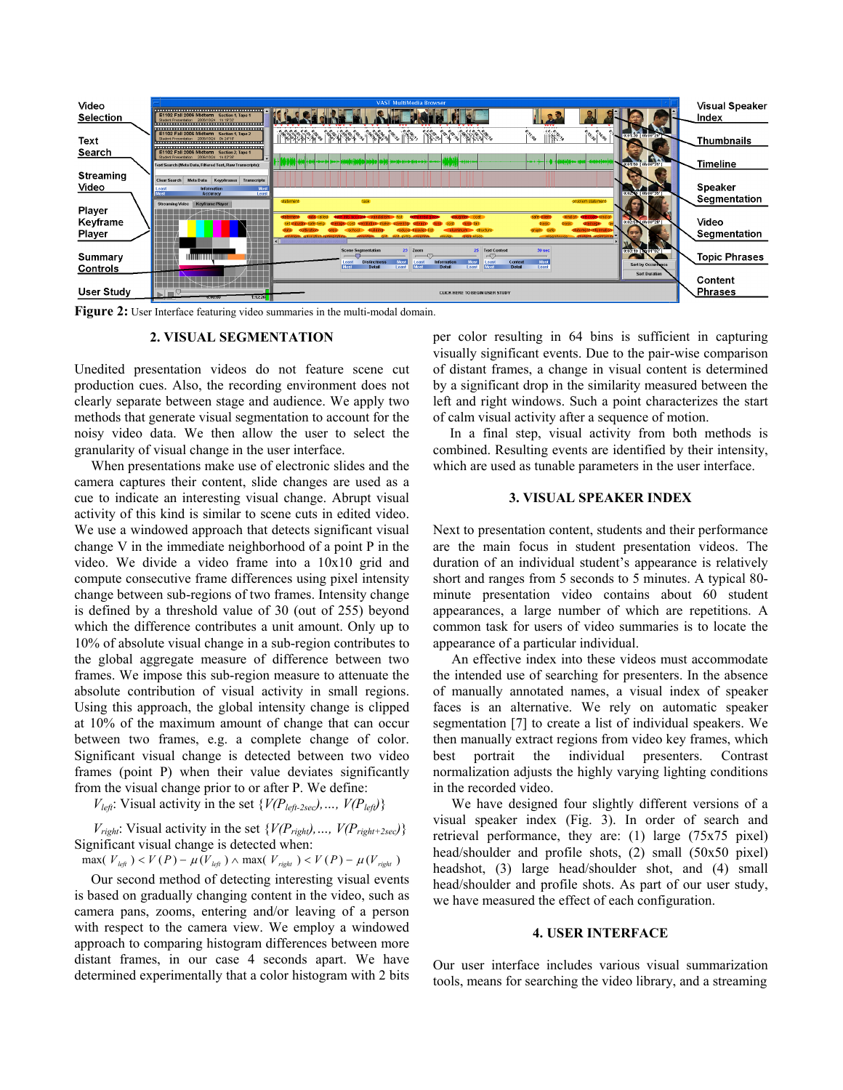

**Figure 2:** User Interface featuring video summaries in the multi-modal domain.

#### **2. VISUAL SEGMENTATION**

Unedited presentation videos do not feature scene cut production cues. Also, the recording environment does not clearly separate between stage and audience. We apply two methods that generate visual segmentation to account for the noisy video data. We then allow the user to select the granularity of visual change in the user interface.

When presentations make use of electronic slides and the camera captures their content, slide changes are used as a cue to indicate an interesting visual change. Abrupt visual activity of this kind is similar to scene cuts in edited video. We use a windowed approach that detects significant visual change V in the immediate neighborhood of a point P in the video. We divide a video frame into a 10x10 grid and compute consecutive frame differences using pixel intensity change between sub-regions of two frames. Intensity change is defined by a threshold value of 30 (out of 255) beyond which the difference contributes a unit amount. Only up to 10% of absolute visual change in a sub-region contributes to the global aggregate measure of difference between two frames. We impose this sub-region measure to attenuate the absolute contribution of visual activity in small regions. Using this approach, the global intensity change is clipped at 10% of the maximum amount of change that can occur between two frames, e.g. a complete change of color. Significant visual change is detected between two video frames (point P) when their value deviates significantly from the visual change prior to or after P. We define:

 $V_{left}$ : Visual activity in the set { $V(P_{left2sec}), ..., V(P_{left})$ }

 $V_{right}$ : Visual activity in the set  $\{V(P_{right}), ..., V(P_{right+2sec})\}$ Significant visual change is detected when:

 $max(V_{left} ) < V(P) - \mu(V_{left} ) \wedge max(V_{right} ) < V(P) - \mu(V_{right} )$ 

Our second method of detecting interesting visual events is based on gradually changing content in the video, such as camera pans, zooms, entering and/or leaving of a person with respect to the camera view. We employ a windowed approach to comparing histogram differences between more distant frames, in our case 4 seconds apart. We have determined experimentally that a color histogram with 2 bits per color resulting in 64 bins is sufficient in capturing visually significant events. Due to the pair-wise comparison of distant frames, a change in visual content is determined by a significant drop in the similarity measured between the left and right windows. Such a point characterizes the start of calm visual activity after a sequence of motion.

In a final step, visual activity from both methods is combined. Resulting events are identified by their intensity, which are used as tunable parameters in the user interface.

### **3. VISUAL SPEAKER INDEX**

Next to presentation content, students and their performance are the main focus in student presentation videos. The duration of an individual student's appearance is relatively short and ranges from 5 seconds to 5 minutes. A typical 80 minute presentation video contains about 60 student appearances, a large number of which are repetitions. A common task for users of video summaries is to locate the appearance of a particular individual.

An effective index into these videos must accommodate the intended use of searching for presenters. In the absence of manually annotated names, a visual index of speaker faces is an alternative. We rely on automatic speaker segmentation [7] to create a list of individual speakers. We then manually extract regions from video key frames, which best portrait the individual presenters. Contrast normalization adjusts the highly varying lighting conditions in the recorded video.

We have designed four slightly different versions of a visual speaker index (Fig. 3). In order of search and retrieval performance, they are: (1) large (75x75 pixel) head/shoulder and profile shots, (2) small (50x50 pixel) headshot, (3) large head/shoulder shot, and (4) small head/shoulder and profile shots. As part of our user study, we have measured the effect of each configuration.

### **4. USER INTERFACE**

Our user interface includes various visual summarization tools, means for searching the video library, and a streaming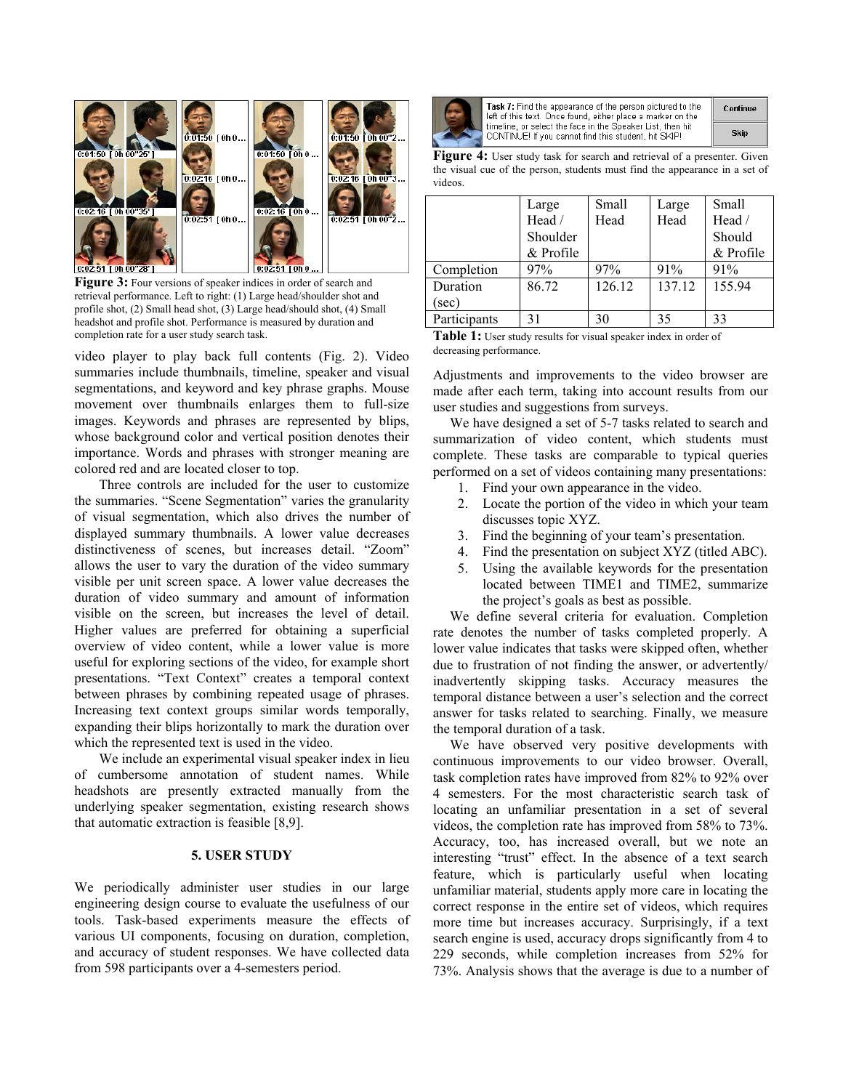

**Figure 3:** Four versions of speaker indices in order of search and retrieval performance. Left to right: (1) Large head/shoulder shot and profile shot, (2) Small head shot, (3) Large head/should shot, (4) Small headshot and profile shot. Performance is measured by duration and completion rate for a user study search task.

video player to play back full contents (Fig. 2). Video summaries include thumbnails, timeline, speaker and visual segmentations, and keyword and key phrase graphs. Mouse movement over thumbnails enlarges them to full-size images. Keywords and phrases are represented by blips, whose background color and vertical position denotes their importance. Words and phrases with stronger meaning are colored red and are located closer to top.

Three controls are included for the user to customize the summaries. "Scene Segmentation" varies the granularity of visual segmentation, which also drives the number of displayed summary thumbnails. A lower value decreases distinctiveness of scenes, but increases detail. "Zoom" allows the user to vary the duration of the video summary visible per unit screen space. A lower value decreases the duration of video summary and amount of information visible on the screen, but increases the level of detail. Higher values are preferred for obtaining a superficial overview of video content, while a lower value is more useful for exploring sections of the video, for example short presentations. "Text Context" creates a temporal context between phrases by combining repeated usage of phrases. Increasing text context groups similar words temporally, expanding their blips horizontally to mark the duration over which the represented text is used in the video.

We include an experimental visual speaker index in lieu of cumbersome annotation of student names. While headshots are presently extracted manually from the underlying speaker segmentation, existing research shows that automatic extraction is feasible [8,9].

## **5. USER STUDY**

We periodically administer user studies in our large engineering design course to evaluate the usefulness of our tools. Task-based experiments measure the effects of various UI components, focusing on duration, completion, and accuracy of student responses. We have collected data from 598 participants over a 4-semesters period.



Task 7: Find the appearance of the person pictured to the left of this text. Once found, either place a marker on the timeline, or select the face in the Speaker List, then hit CONTINUE! If you cannot find this student, hit SKIP!

| Continue |  |
|----------|--|
| Skip     |  |

**Figure 4:** User study task for search and retrieval of a presenter. Given the visual cue of the person, students must find the appearance in a set of videos.

|              | Large     | Small  | Large  | Small     |
|--------------|-----------|--------|--------|-----------|
|              | Head /    | Head   | Head   | Head /    |
|              | Shoulder  |        |        | Should    |
|              | & Profile |        |        | & Profile |
| Completion   | 97%       | 97%    | 91%    | 91%       |
| Duration     | 86.72     | 126.12 | 137.12 | 155.94    |
| (sec)        |           |        |        |           |
| Participants | 31        | 30     | 35     | 33        |

**Table 1:** User study results for visual speaker index in order of decreasing performance.

Adjustments and improvements to the video browser are made after each term, taking into account results from our user studies and suggestions from surveys.

We have designed a set of 5-7 tasks related to search and summarization of video content, which students must complete. These tasks are comparable to typical queries performed on a set of videos containing many presentations:

- 1. Find your own appearance in the video.
- 2. Locate the portion of the video in which your team discusses topic XYZ.
- 3. Find the beginning of your team's presentation.
- 4. Find the presentation on subject XYZ (titled ABC).
- 5. Using the available keywords for the presentation located between TIME1 and TIME2, summarize the project's goals as best as possible.

We define several criteria for evaluation. Completion rate denotes the number of tasks completed properly. A lower value indicates that tasks were skipped often, whether due to frustration of not finding the answer, or advertently/ inadvertently skipping tasks. Accuracy measures the temporal distance between a user's selection and the correct answer for tasks related to searching. Finally, we measure the temporal duration of a task.

We have observed very positive developments with continuous improvements to our video browser. Overall, task completion rates have improved from 82% to 92% over 4 semesters. For the most characteristic search task of locating an unfamiliar presentation in a set of several videos, the completion rate has improved from 58% to 73%. Accuracy, too, has increased overall, but we note an interesting "trust" effect. In the absence of a text search feature, which is particularly useful when locating unfamiliar material, students apply more care in locating the correct response in the entire set of videos, which requires more time but increases accuracy. Surprisingly, if a text search engine is used, accuracy drops significantly from 4 to 229 seconds, while completion increases from 52% for 73%. Analysis shows that the average is due to a number of